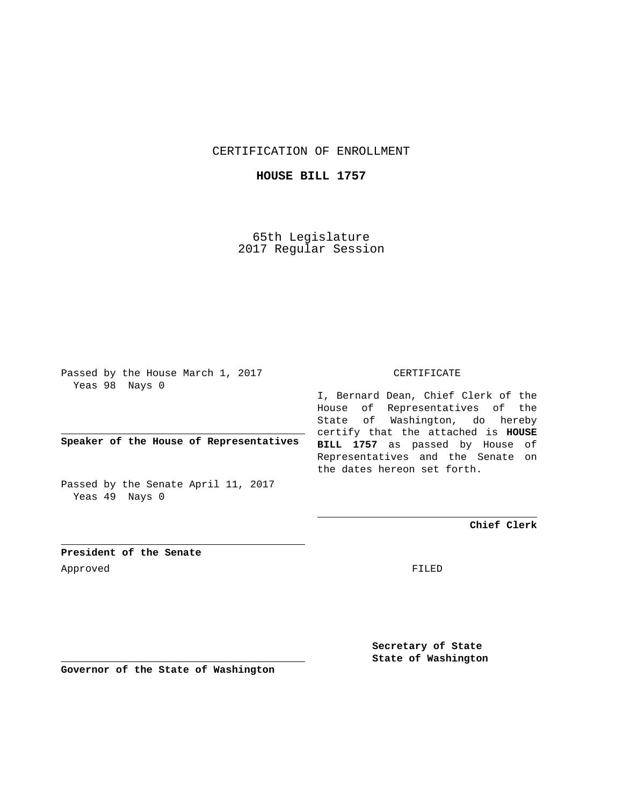CERTIFICATION OF ENROLLMENT

**HOUSE BILL 1757**

65th Legislature 2017 Regular Session

Passed by the House March 1, 2017 Yeas 98 Nays 0

**Speaker of the House of Representatives**

Passed by the Senate April 11, 2017 Yeas 49 Nays 0

CERTIFICATE

I, Bernard Dean, Chief Clerk of the House of Representatives of the State of Washington, do hereby certify that the attached is **HOUSE BILL 1757** as passed by House of Representatives and the Senate on the dates hereon set forth.

**Chief Clerk**

**President of the Senate** Approved FILED

**Secretary of State State of Washington**

**Governor of the State of Washington**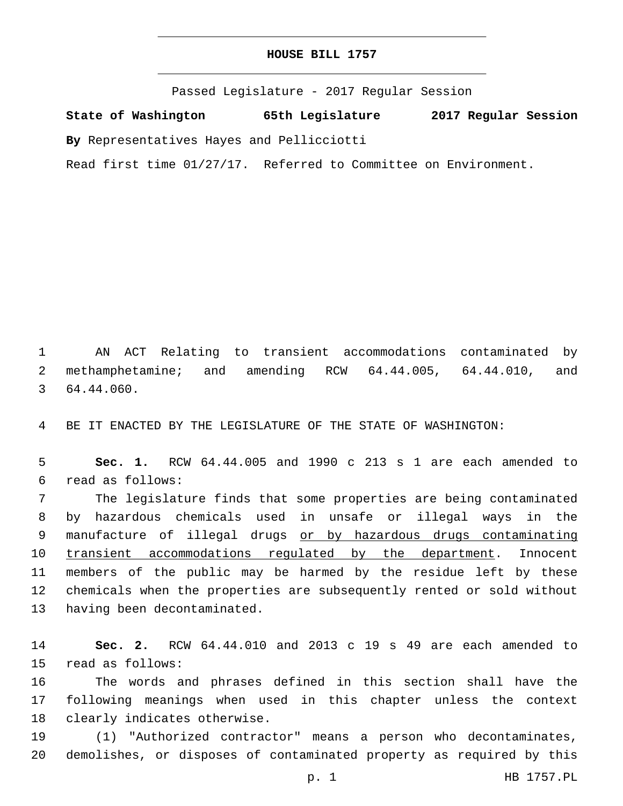## **HOUSE BILL 1757**

Passed Legislature - 2017 Regular Session

**State of Washington 65th Legislature 2017 Regular Session**

**By** Representatives Hayes and Pellicciotti

Read first time 01/27/17. Referred to Committee on Environment.

1 AN ACT Relating to transient accommodations contaminated by 2 methamphetamine; and amending RCW 64.44.005, 64.44.010, and 3 64.44.060.

4 BE IT ENACTED BY THE LEGISLATURE OF THE STATE OF WASHINGTON:

5 **Sec. 1.** RCW 64.44.005 and 1990 c 213 s 1 are each amended to read as follows:6

7 The legislature finds that some properties are being contaminated 8 by hazardous chemicals used in unsafe or illegal ways in the 9 manufacture of illegal drugs or by hazardous drugs contaminating 10 transient accommodations regulated by the department. Innocent 11 members of the public may be harmed by the residue left by these 12 chemicals when the properties are subsequently rented or sold without 13 having been decontaminated.

14 **Sec. 2.** RCW 64.44.010 and 2013 c 19 s 49 are each amended to 15 read as follows:

16 The words and phrases defined in this section shall have the 17 following meanings when used in this chapter unless the context 18 clearly indicates otherwise.

19 (1) "Authorized contractor" means a person who decontaminates, 20 demolishes, or disposes of contaminated property as required by this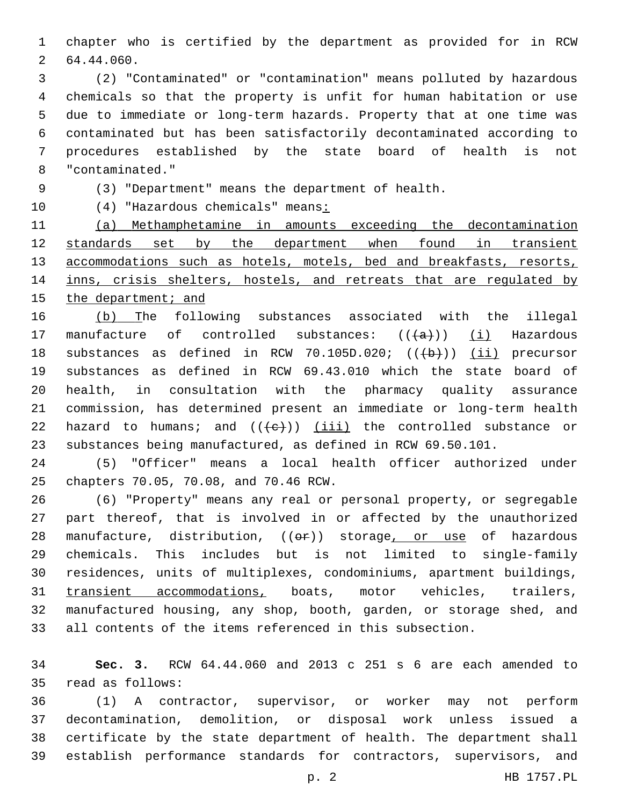chapter who is certified by the department as provided for in RCW 64.44.060.2

 (2) "Contaminated" or "contamination" means polluted by hazardous chemicals so that the property is unfit for human habitation or use due to immediate or long-term hazards. Property that at one time was contaminated but has been satisfactorily decontaminated according to procedures established by the state board of health is not "contaminated."8

(3) "Department" means the department of health.

10 (4) "Hazardous chemicals" means:

 (a) Methamphetamine in amounts exceeding the decontamination 12 standards set by the department when found in transient 13 accommodations such as hotels, motels, bed and breakfasts, resorts, 14 inns, crisis shelters, hostels, and retreats that are regulated by the department; and

 (b) The following substances associated with the illegal 17 manufacture of controlled substances:  $((+a))$   $(i)$  Hazardous 18 substances as defined in RCW 70.105D.020;  $((+b))$  (ii) precursor substances as defined in RCW 69.43.010 which the state board of health, in consultation with the pharmacy quality assurance commission, has determined present an immediate or long-term health 22 hazard to humans; and  $((e+))$  (iii) the controlled substance or substances being manufactured, as defined in RCW 69.50.101.

 (5) "Officer" means a local health officer authorized under 25 chapters 70.05, 70.08, and 70.46 RCW.

 (6) "Property" means any real or personal property, or segregable part thereof, that is involved in or affected by the unauthorized 28 manufacture, distribution, ((or)) storage, or use of hazardous chemicals. This includes but is not limited to single-family residences, units of multiplexes, condominiums, apartment buildings, transient accommodations, boats, motor vehicles, trailers, manufactured housing, any shop, booth, garden, or storage shed, and all contents of the items referenced in this subsection.

 **Sec. 3.** RCW 64.44.060 and 2013 c 251 s 6 are each amended to 35 read as follows:

 (1) A contractor, supervisor, or worker may not perform decontamination, demolition, or disposal work unless issued a certificate by the state department of health. The department shall establish performance standards for contractors, supervisors, and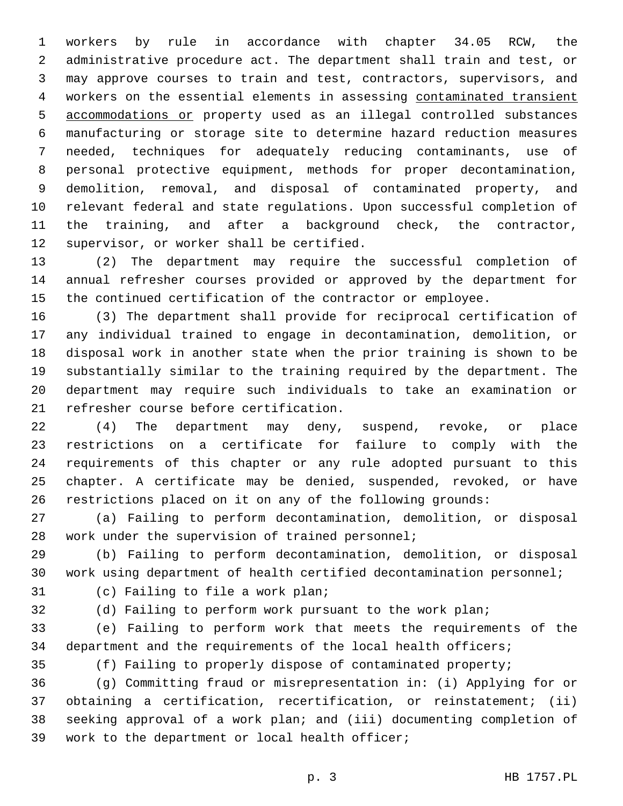workers by rule in accordance with chapter 34.05 RCW, the administrative procedure act. The department shall train and test, or may approve courses to train and test, contractors, supervisors, and workers on the essential elements in assessing contaminated transient accommodations or property used as an illegal controlled substances manufacturing or storage site to determine hazard reduction measures needed, techniques for adequately reducing contaminants, use of personal protective equipment, methods for proper decontamination, demolition, removal, and disposal of contaminated property, and relevant federal and state regulations. Upon successful completion of the training, and after a background check, the contractor, 12 supervisor, or worker shall be certified.

 (2) The department may require the successful completion of annual refresher courses provided or approved by the department for the continued certification of the contractor or employee.

 (3) The department shall provide for reciprocal certification of any individual trained to engage in decontamination, demolition, or disposal work in another state when the prior training is shown to be substantially similar to the training required by the department. The department may require such individuals to take an examination or 21 refresher course before certification.

 (4) The department may deny, suspend, revoke, or place restrictions on a certificate for failure to comply with the requirements of this chapter or any rule adopted pursuant to this chapter. A certificate may be denied, suspended, revoked, or have restrictions placed on it on any of the following grounds:

 (a) Failing to perform decontamination, demolition, or disposal 28 work under the supervision of trained personnel;

 (b) Failing to perform decontamination, demolition, or disposal work using department of health certified decontamination personnel;

31 (c) Failing to file a work plan;

(d) Failing to perform work pursuant to the work plan;

 (e) Failing to perform work that meets the requirements of the department and the requirements of the local health officers;

(f) Failing to properly dispose of contaminated property;

 (g) Committing fraud or misrepresentation in: (i) Applying for or obtaining a certification, recertification, or reinstatement; (ii) seeking approval of a work plan; and (iii) documenting completion of 39 work to the department or local health officer;